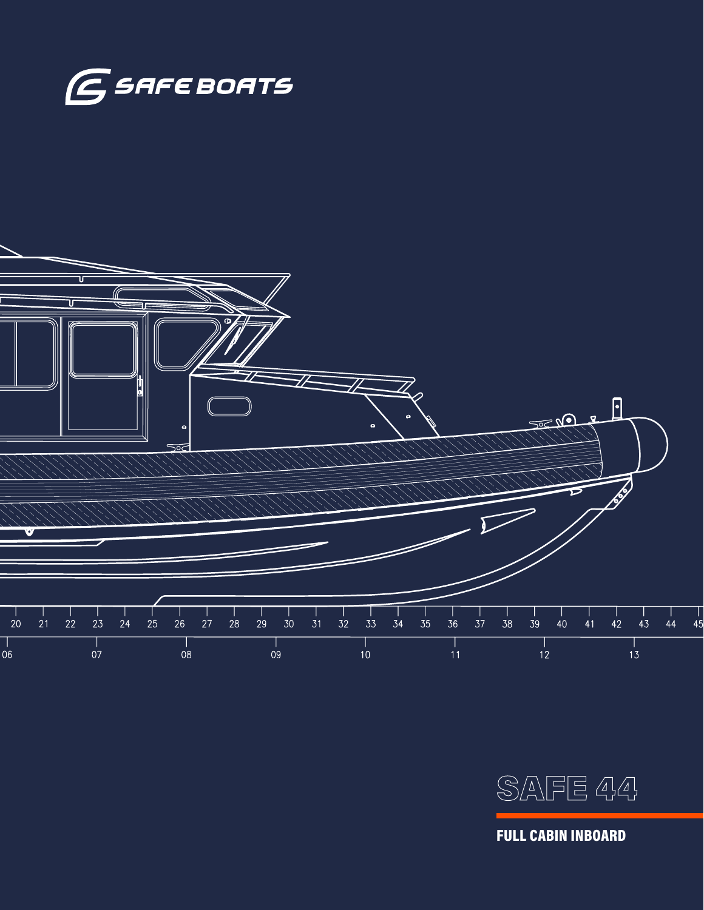





SAFE 44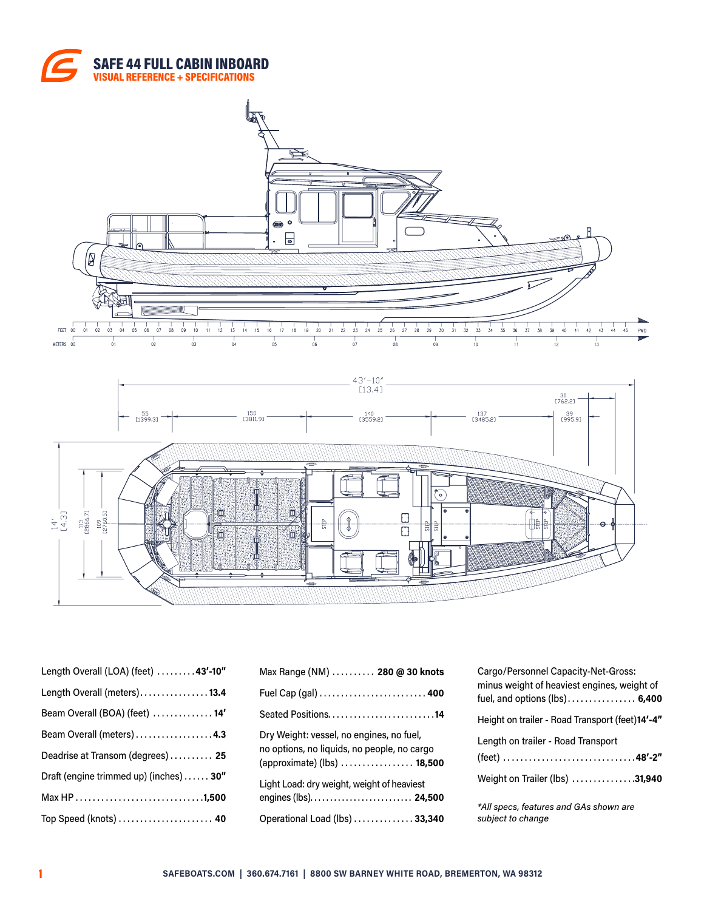





| Length Overall (LOA) (feet) 43'-10"     |
|-----------------------------------------|
| Length Overall (meters)13.4             |
| Beam Overall (BOA) (feet)  14'          |
| Beam Overall (meters)  4.3              |
| Deadrise at Transom (degrees) 25        |
| Draft (engine trimmed up) (inches)  30" |
|                                         |
| Top Speed (knots)  40                   |

| Max Range (NM)  280 @ 30 knots                                                                                                 |
|--------------------------------------------------------------------------------------------------------------------------------|
| Fuel Cap (gal)  400                                                                                                            |
|                                                                                                                                |
| Dry Weight: vessel, no engines, no fuel,<br>no options, no liquids, no people, no cargo<br>(approximate) (lbs) $\ldots$ 18,500 |
| Light Load: dry weight, weight of heaviest<br>engines (lbs). $\ldots$ . $\ldots$ . $\ldots$ . $\ldots$ . 24,500                |
| Operational Load (lbs) 33,340                                                                                                  |

| Cargo/Personnel Capacity-Net-Gross:<br>minus weight of heaviest engines, weight of<br>fuel, and options $(lbs)$ 6,400 |
|-----------------------------------------------------------------------------------------------------------------------|
| Height on trailer - Road Transport (feet)14'-4"                                                                       |
| Length on trailer - Road Transport                                                                                    |
| Weight on Trailer (lbs) 31,940                                                                                        |
| *All specs, features and GAs shown are<br>subject to change                                                           |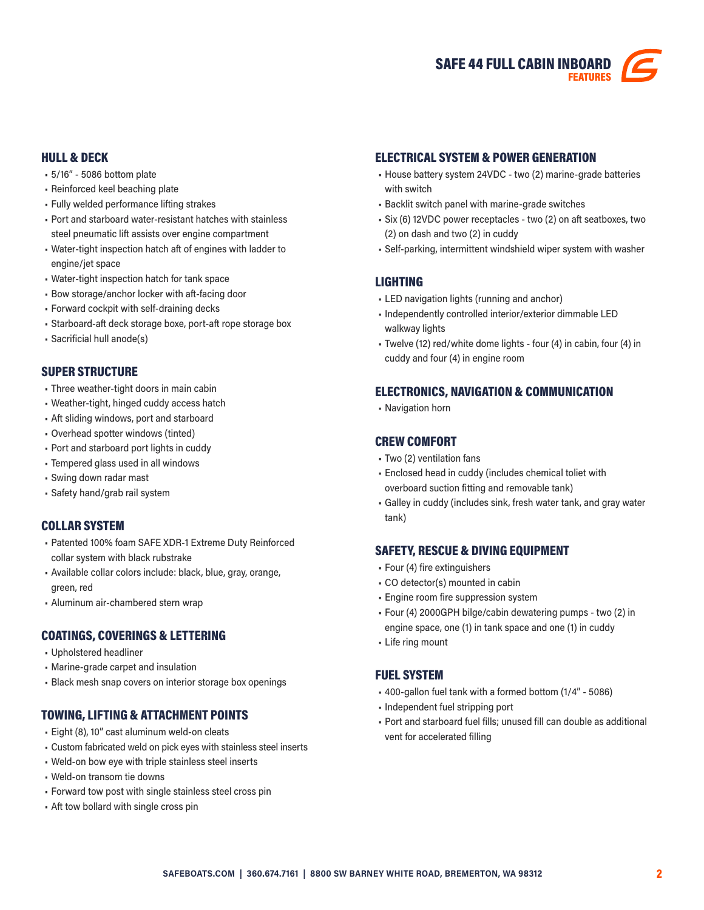

## HULL & DECK

- 5/16" 5086 bottom plate
- Reinforced keel beaching plate
- Fully welded performance lifting strakes
- Port and starboard water-resistant hatches with stainless steel pneumatic lift assists over engine compartment
- Water-tight inspection hatch aft of engines with ladder to engine/jet space
- Water-tight inspection hatch for tank space
- Bow storage/anchor locker with aft-facing door
- Forward cockpit with self-draining decks
- Starboard-aft deck storage boxe, port-aft rope storage box
- Sacrificial hull anode(s)

### SUPER STRUCTURE

- Three weather-tight doors in main cabin
- Weather-tight, hinged cuddy access hatch
- Aft sliding windows, port and starboard
- Overhead spotter windows (tinted)
- Port and starboard port lights in cuddy
- Tempered glass used in all windows
- Swing down radar mast
- Safety hand/grab rail system

## COLLAR SYSTEM

- Patented 100% foam SAFE XDR-1 Extreme Duty Reinforced collar system with black rubstrake
- Available collar colors include: black, blue, gray, orange, green, red
- Aluminum air-chambered stern wrap

## COATINGS, COVERINGS & LETTERING

- Upholstered headliner
- Marine-grade carpet and insulation
- Black mesh snap covers on interior storage box openings

## TOWING, LIFTING & ATTACHMENT POINTS

- Eight (8), 10" cast aluminum weld-on cleats
- Custom fabricated weld on pick eyes with stainless steel inserts
- Weld-on bow eye with triple stainless steel inserts
- Weld-on transom tie downs
- Forward tow post with single stainless steel cross pin
- Aft tow bollard with single cross pin

### ELECTRICAL SYSTEM & POWER GENERATION

- House battery system 24VDC two (2) marine-grade batteries with switch
- Backlit switch panel with marine-grade switches
- Six (6) 12VDC power receptacles two (2) on aft seatboxes, two (2) on dash and two (2) in cuddy
- Self-parking, intermittent windshield wiper system with washer

## LIGHTING

- LED navigation lights (running and anchor)
- Independently controlled interior/exterior dimmable LED walkway lights
- Twelve (12) red/white dome lights four (4) in cabin, four (4) in cuddy and four (4) in engine room

### ELECTRONICS, NAVIGATION & COMMUNICATION

• Navigation horn

### CREW COMFORT

- Two (2) ventilation fans
- Enclosed head in cuddy (includes chemical toliet with overboard suction fitting and removable tank)
- Galley in cuddy (includes sink, fresh water tank, and gray water tank)

#### SAFETY, RESCUE & DIVING EQUIPMENT

- Four (4) fire extinguishers
- CO detector(s) mounted in cabin
- Engine room fire suppression system
- Four (4) 2000GPH bilge/cabin dewatering pumps two (2) in engine space, one (1) in tank space and one (1) in cuddy
- Life ring mount

#### FUEL SYSTEM

- 400-gallon fuel tank with a formed bottom (1/4" 5086)
- Independent fuel stripping port
- Port and starboard fuel fills; unused fill can double as additional vent for accelerated filling